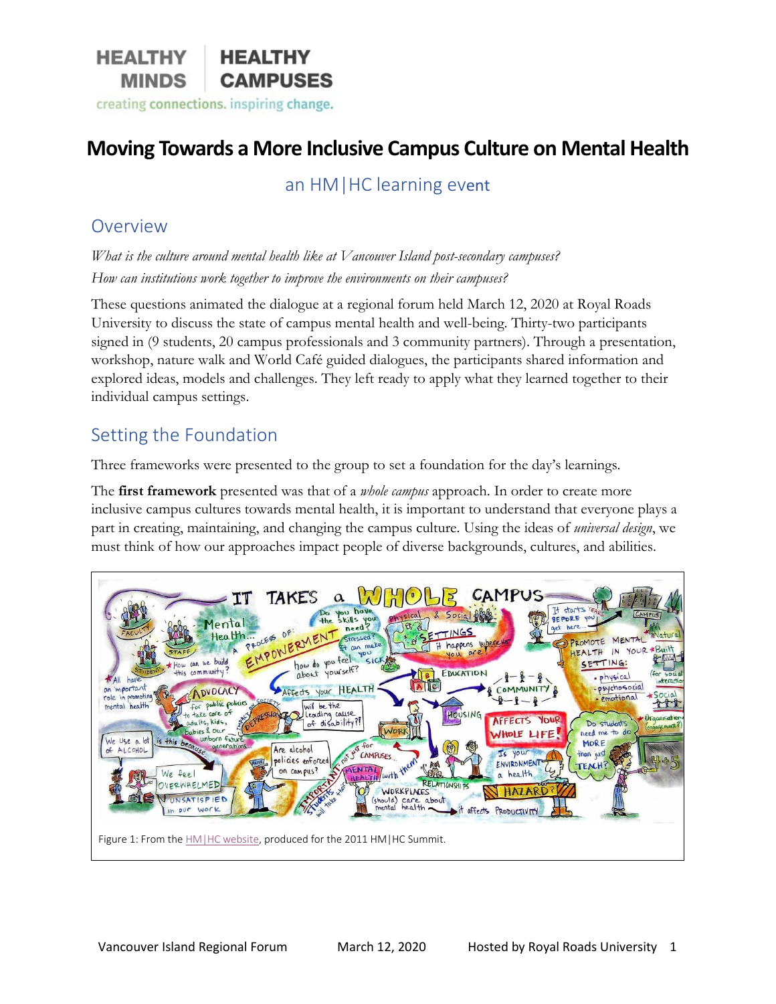

# **Moving Towards a More Inclusive Campus Culture on Mental Health**

an HM|HC learning event

#### Overview

*What is the culture around mental health like at Vancouver Island post-secondary campuses? How can institutions work together to improve the environments on their campuses?* 

These questions animated the dialogue at a regional forum held March 12, 2020 at Royal Roads University to discuss the state of campus mental health and well-being. Thirty-two participants signed in (9 students, 20 campus professionals and 3 community partners). Through a presentation, workshop, nature walk and World Café guided dialogues, the participants shared information and explored ideas, models and challenges. They left ready to apply what they learned together to their individual campus settings.

### Setting the Foundation

Three frameworks were presented to the group to set a foundation for the day's learnings.

The **first framework** presented was that of a *whole campus* approach. In order to create more inclusive campus cultures towards mental health, it is important to understand that everyone plays a part in creating, maintaining, and changing the campus culture. Using the ideas of *universal design*, we must think of how our approaches impact people of diverse backgrounds, cultures, and abilities.

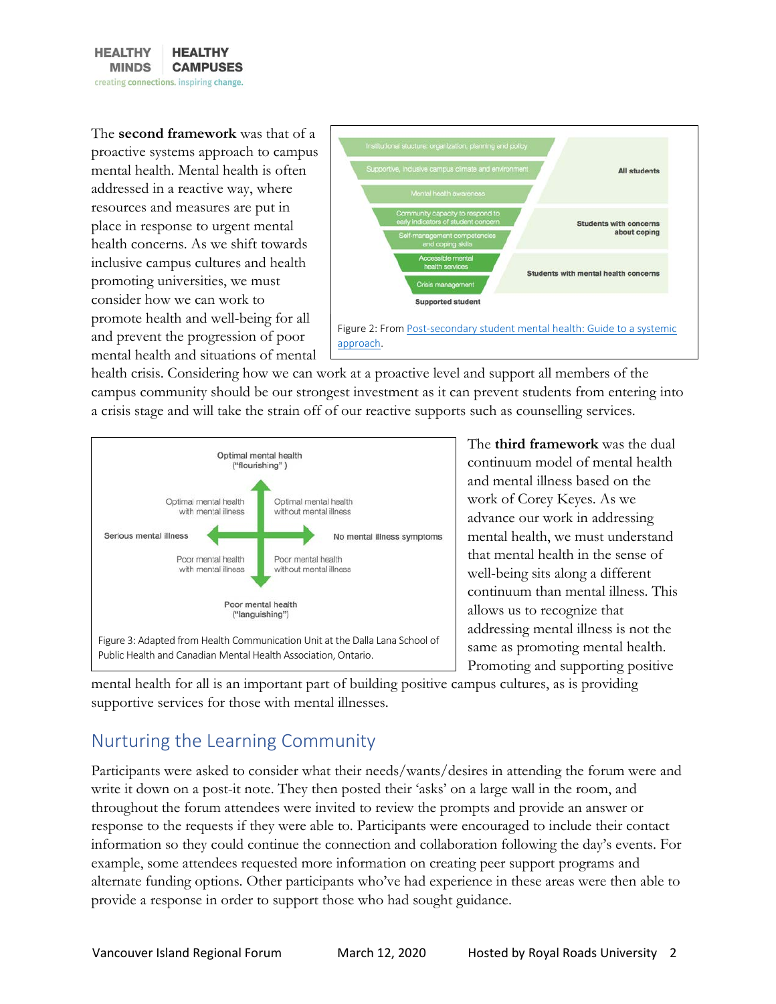

The **second framework** was that of a proactive systems approach to campus mental health. Mental health is often addressed in a reactive way, where resources and measures are put in place in response to urgent mental health concerns. As we shift towards inclusive campus cultures and health promoting universities, we must consider how we can work to promote health and well-being for all and prevent the progression of poor mental health and situations of mental



health crisis. Considering how we can work at a proactive level and support all members of the campus community should be our strongest investment as it can prevent students from entering into a crisis stage and will take the strain off of our reactive supports such as counselling services.



The **third framework** was the dual continuum model of mental health and mental illness based on the work of Corey Keyes. As we advance our work in addressing mental health, we must understand that mental health in the sense of well-being sits along a different continuum than mental illness. This allows us to recognize that addressing mental illness is not the same as promoting mental health. Promoting and supporting positive

mental health for all is an important part of building positive campus cultures, as is providing supportive services for those with mental illnesses.

# Nurturing the Learning Community

Participants were asked to consider what their needs/wants/desires in attending the forum were and write it down on a post-it note. They then posted their 'asks' on a large wall in the room, and throughout the forum attendees were invited to review the prompts and provide an answer or response to the requests if they were able to. Participants were encouraged to include their contact information so they could continue the connection and collaboration following the day's events. For example, some attendees requested more information on creating peer support programs and alternate funding options. Other participants who've had experience in these areas were then able to provide a response in order to support those who had sought guidance.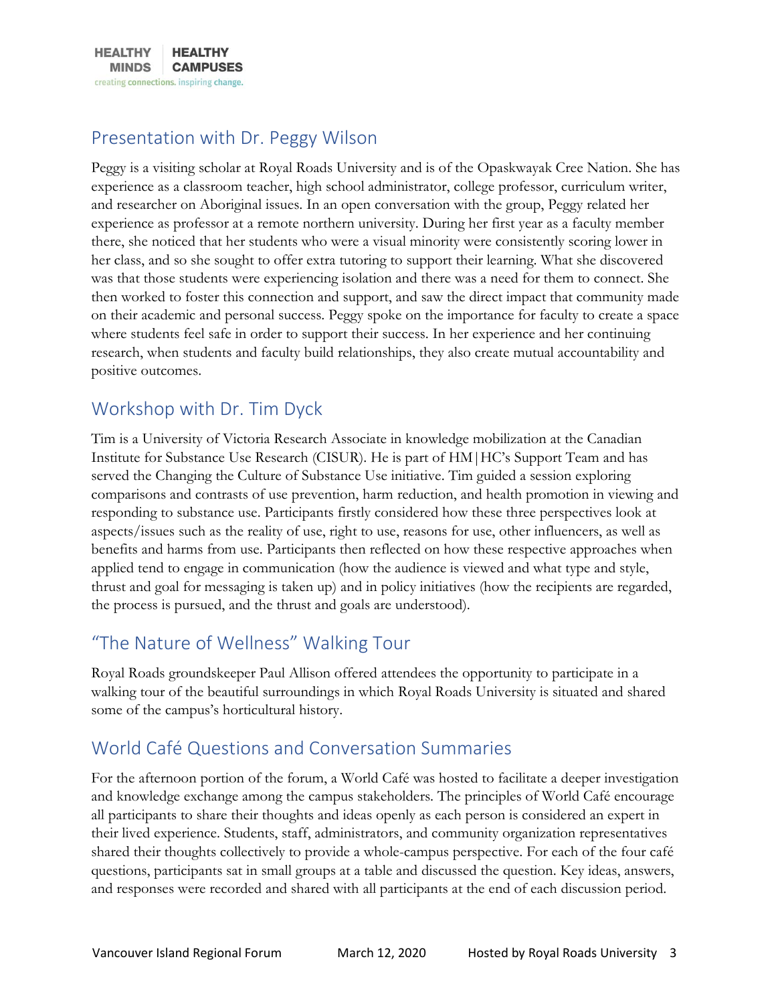

### Presentation with Dr. Peggy Wilson

Peggy is a visiting scholar at Royal Roads University and is of the Opaskwayak Cree Nation. She has experience as a classroom teacher, high school administrator, college professor, curriculum writer, and researcher on Aboriginal issues. In an open conversation with the group, Peggy related her experience as professor at a remote northern university. During her first year as a faculty member there, she noticed that her students who were a visual minority were consistently scoring lower in her class, and so she sought to offer extra tutoring to support their learning. What she discovered was that those students were experiencing isolation and there was a need for them to connect. She then worked to foster this connection and support, and saw the direct impact that community made on their academic and personal success. Peggy spoke on the importance for faculty to create a space where students feel safe in order to support their success. In her experience and her continuing research, when students and faculty build relationships, they also create mutual accountability and positive outcomes.

## Workshop with Dr. Tim Dyck

Tim is a University of Victoria Research Associate in knowledge mobilization at the Canadian Institute for Substance Use Research (CISUR). He is part of HM|HC's Support Team and has served the Changing the Culture of Substance Use initiative. Tim guided a session exploring comparisons and contrasts of use prevention, harm reduction, and health promotion in viewing and responding to substance use. Participants firstly considered how these three perspectives look at aspects/issues such as the reality of use, right to use, reasons for use, other influencers, as well as benefits and harms from use. Participants then reflected on how these respective approaches when applied tend to engage in communication (how the audience is viewed and what type and style, thrust and goal for messaging is taken up) and in policy initiatives (how the recipients are regarded, the process is pursued, and the thrust and goals are understood).

## "The Nature of Wellness" Walking Tour

Royal Roads groundskeeper Paul Allison offered attendees the opportunity to participate in a walking tour of the beautiful surroundings in which Royal Roads University is situated and shared some of the campus's horticultural history.

## World Café Questions and Conversation Summaries

For the afternoon portion of the forum, a World Café was hosted to facilitate a deeper investigation and knowledge exchange among the campus stakeholders. The principles of World Café encourage all participants to share their thoughts and ideas openly as each person is considered an expert in their lived experience. Students, staff, administrators, and community organization representatives shared their thoughts collectively to provide a whole-campus perspective. For each of the four café questions, participants sat in small groups at a table and discussed the question. Key ideas, answers, and responses were recorded and shared with all participants at the end of each discussion period.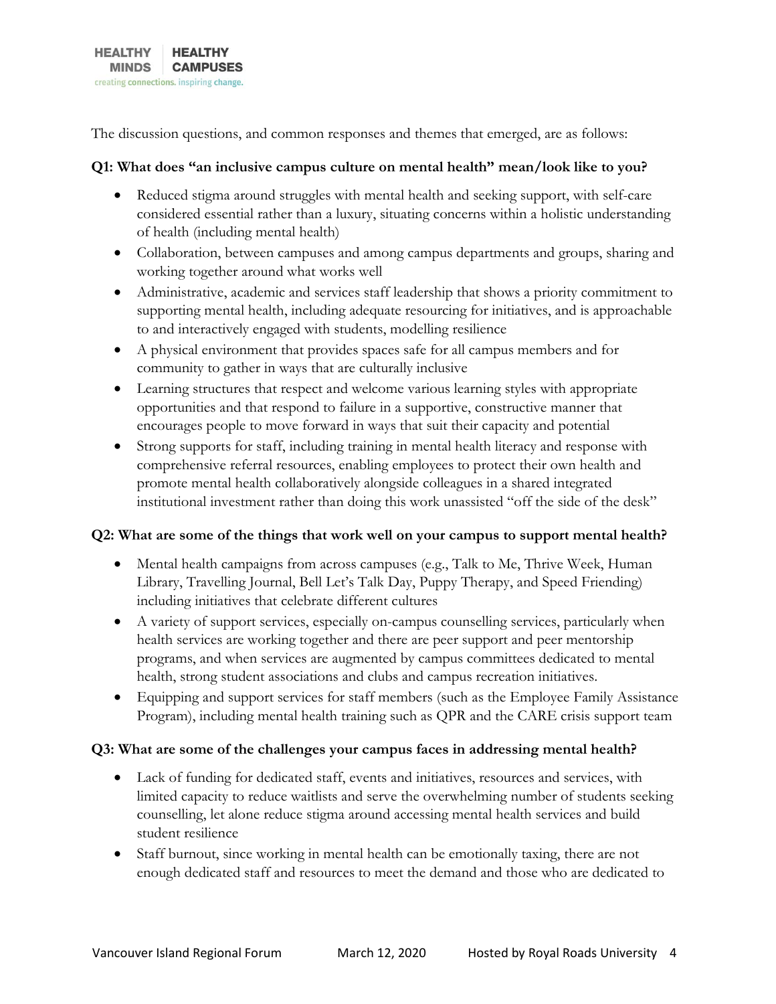The discussion questions, and common responses and themes that emerged, are as follows:

#### **Q1: What does "an inclusive campus culture on mental health" mean/look like to you?**

- Reduced stigma around struggles with mental health and seeking support, with self-care considered essential rather than a luxury, situating concerns within a holistic understanding of health (including mental health)
- Collaboration, between campuses and among campus departments and groups, sharing and working together around what works well
- Administrative, academic and services staff leadership that shows a priority commitment to supporting mental health, including adequate resourcing for initiatives, and is approachable to and interactively engaged with students, modelling resilience
- A physical environment that provides spaces safe for all campus members and for community to gather in ways that are culturally inclusive
- Learning structures that respect and welcome various learning styles with appropriate opportunities and that respond to failure in a supportive, constructive manner that encourages people to move forward in ways that suit their capacity and potential
- Strong supports for staff, including training in mental health literacy and response with comprehensive referral resources, enabling employees to protect their own health and promote mental health collaboratively alongside colleagues in a shared integrated institutional investment rather than doing this work unassisted "off the side of the desk"

#### **Q2: What are some of the things that work well on your campus to support mental health?**

- Mental health campaigns from across campuses (e.g., Talk to Me, Thrive Week, Human Library, Travelling Journal, Bell Let's Talk Day, Puppy Therapy, and Speed Friending) including initiatives that celebrate different cultures
- A variety of support services, especially on-campus counselling services, particularly when health services are working together and there are peer support and peer mentorship programs, and when services are augmented by campus committees dedicated to mental health, strong student associations and clubs and campus recreation initiatives.
- Equipping and support services for staff members (such as the Employee Family Assistance Program), including mental health training such as QPR and the CARE crisis support team

#### **Q3: What are some of the challenges your campus faces in addressing mental health?**

- Lack of funding for dedicated staff, events and initiatives, resources and services, with limited capacity to reduce waitlists and serve the overwhelming number of students seeking counselling, let alone reduce stigma around accessing mental health services and build student resilience
- Staff burnout, since working in mental health can be emotionally taxing, there are not enough dedicated staff and resources to meet the demand and those who are dedicated to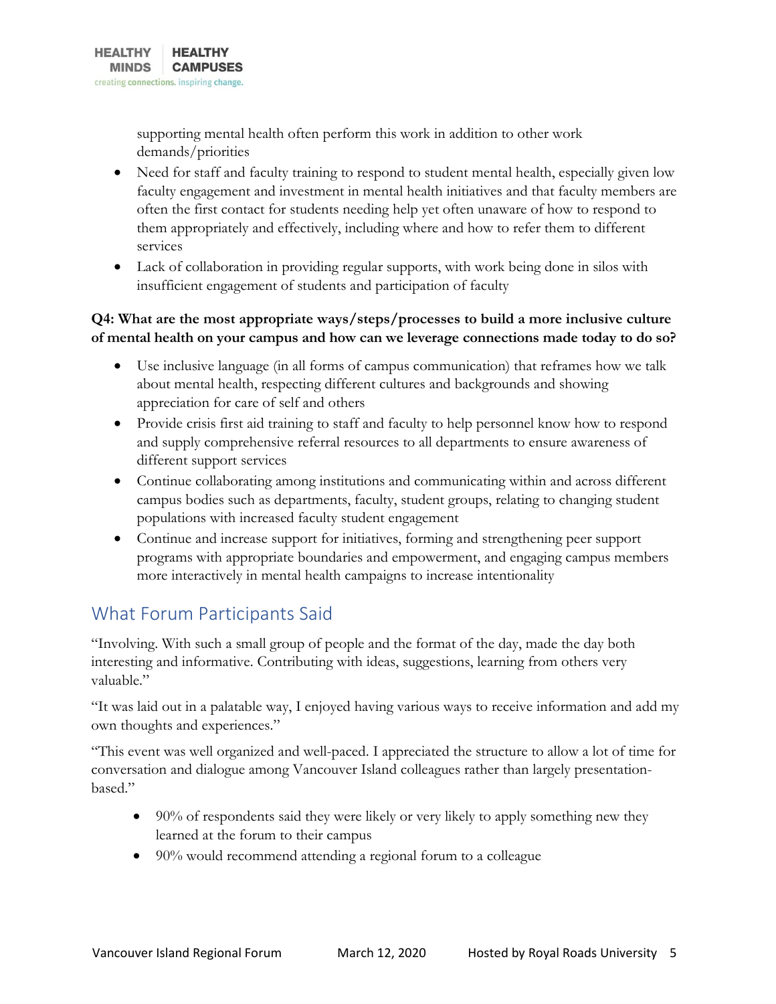supporting mental health often perform this work in addition to other work demands/priorities

- Need for staff and faculty training to respond to student mental health, especially given low faculty engagement and investment in mental health initiatives and that faculty members are often the first contact for students needing help yet often unaware of how to respond to them appropriately and effectively, including where and how to refer them to different services
- Lack of collaboration in providing regular supports, with work being done in silos with insufficient engagement of students and participation of faculty

#### **Q4: What are the most appropriate ways/steps/processes to build a more inclusive culture of mental health on your campus and how can we leverage connections made today to do so?**

- Use inclusive language (in all forms of campus communication) that reframes how we talk about mental health, respecting different cultures and backgrounds and showing appreciation for care of self and others
- Provide crisis first aid training to staff and faculty to help personnel know how to respond and supply comprehensive referral resources to all departments to ensure awareness of different support services
- Continue collaborating among institutions and communicating within and across different campus bodies such as departments, faculty, student groups, relating to changing student populations with increased faculty student engagement
- Continue and increase support for initiatives, forming and strengthening peer support programs with appropriate boundaries and empowerment, and engaging campus members more interactively in mental health campaigns to increase intentionality

## What Forum Participants Said

"Involving. With such a small group of people and the format of the day, made the day both interesting and informative. Contributing with ideas, suggestions, learning from others very valuable"

"It was laid out in a palatable way, I enjoyed having various ways to receive information and add my own thoughts and experiences."

"This event was well organized and well-paced. I appreciated the structure to allow a lot of time for conversation and dialogue among Vancouver Island colleagues rather than largely presentationbased."

- 90% of respondents said they were likely or very likely to apply something new they learned at the forum to their campus
- 90% would recommend attending a regional forum to a colleague